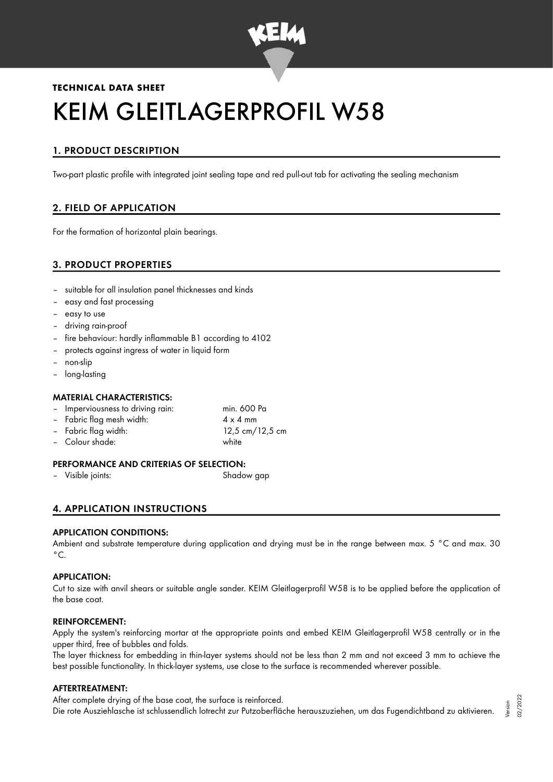

# **TECHNICAL DATA SHEET** KEIM GLEITLAGERPROFIL W58

# 1. PRODUCT DESCRIPTION

Two-part plastic profile with integrated joint sealing tape and red pull-out tab for activating the sealing mechanism

# 2. FIELD OF APPLICATION

For the formation of horizontal plain bearings.

# 3. PRODUCT PROPERTIES

- suitable for all insulation panel thicknesses and kinds
- easy and fast processing
- easy to use
- driving rain-proof
- fire behaviour: hardly inflammable B1 according to 4102
- protects against ingress of water in liquid form
- non-slip
- long-lasting

## MATERIAL CHARACTERISTICS:

| - Imperviousness to driving rain: | min. 600 Pa     |
|-----------------------------------|-----------------|
| - Fabric flag mesh width:         | $4 \times 4$ mm |
| - Fabric flag width:              | 12,5 cm/12,5 cm |
| - Colour shade:                   | white           |
|                                   |                 |

## PERFORMANCE AND CRITERIAS OF SELECTION:

– Visible joints: Shadow gap

# 4. APPLICATION INSTRUCTIONS

#### APPLICATION CONDITIONS:

Ambient and substrate temperature during application and drying must be in the range between max. 5 °C and max. 30  $^{\circ}$ C.

#### APPLICATION:

Cut to size with anvil shears or suitable angle sander. KEIM Gleitlagerprofil W58 is to be applied before the application of the base coat.

#### REINFORCEMENT:

Apply the system's reinforcing mortar at the appropriate points and embed KEIM Gleitlagerprofil W58 centrally or in the upper third, free of bubbles and folds.

The layer thickness for embedding in thin-layer systems should not be less than 2 mm and not exceed 3 mm to achieve the best possible functionality. In thick-layer systems, use close to the surface is recommended wherever possible.

#### AFTERTREATMENT:

After complete drying of the base coat, the surface is reinforced.

Die rote Ausziehlasche ist schlussendlich lotrecht zur Putzoberfläche herauszuziehen, um das Fugendichtband zu aktivieren.